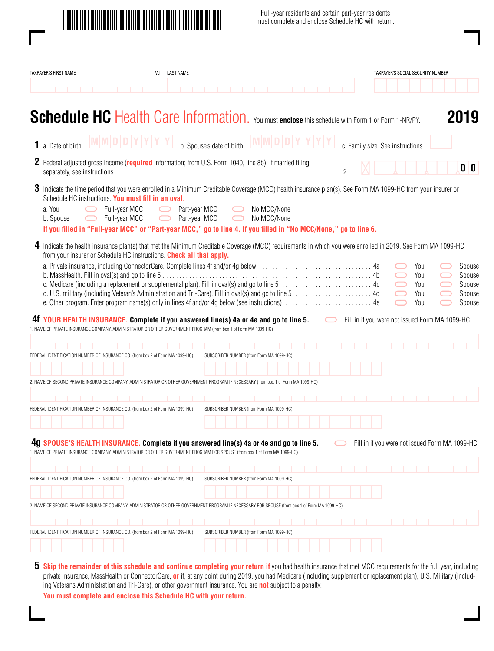

Full-year residents and certain part-year residents must complete and enclose Schedule HC with return.

| TAXPAYER'S FIRST NAME                                                                                                                                                                                                                                                                                                                                                                                         | M.I. LAST NAME                 |                                          |                            |            |                                  | TAXPAYER'S SOCIAL SECURITY NUMBER               |                                                |
|---------------------------------------------------------------------------------------------------------------------------------------------------------------------------------------------------------------------------------------------------------------------------------------------------------------------------------------------------------------------------------------------------------------|--------------------------------|------------------------------------------|----------------------------|------------|----------------------------------|-------------------------------------------------|------------------------------------------------|
|                                                                                                                                                                                                                                                                                                                                                                                                               |                                |                                          |                            |            |                                  |                                                 |                                                |
| Schedule HC Health Care Information. You must enclose this schedule with Form 1 or Form 1-NR/PY.                                                                                                                                                                                                                                                                                                              |                                |                                          |                            |            |                                  |                                                 | 2019                                           |
| 1 a. Date of birth                                                                                                                                                                                                                                                                                                                                                                                            |                                | b. Spouse's date of birth                |                            |            | c. Family size. See instructions |                                                 |                                                |
| 2 Federal adjusted gross income (required information; from U.S. Form 1040, line 8b). If married filing                                                                                                                                                                                                                                                                                                       |                                |                                          |                            |            |                                  |                                                 | 0 <sup>0</sup>                                 |
| 3 Indicate the time period that you were enrolled in a Minimum Creditable Coverage (MCC) health insurance plan(s). See Form MA 1099-HC from your insurer or<br>Schedule HC instructions. You must fill in an oval.<br>Full-year MCC<br>a. You<br>Full-year MCC<br>b. Spouse<br>$\bigcirc$<br>If you filled in "Full-year MCC" or "Part-year MCC," go to line 4. If you filled in "No MCC/None," go to line 6. | Part-year MCC<br>Part-year MCC | $\Box$                                   | No MCC/None<br>No MCC/None |            |                                  |                                                 |                                                |
| 4 Indicate the health insurance plan(s) that met the Minimum Creditable Coverage (MCC) requirements in which you were enrolled in 2019. See Form MA 1099-HC<br>from your insurer or Schedule HC instructions. Check all that apply.                                                                                                                                                                           |                                |                                          |                            |            |                                  | You<br>You<br>You<br>You<br>You                 | Spouse<br>Spouse<br>Spouse<br>Spouse<br>Spouse |
| 41 YOUR HEALTH INSURANCE. Complete if you answered line(s) 4a or 4e and go to line 5.<br>1. NAME OF PRIVATE INSURANCE COMPANY, ADMINISTRATOR OR OTHER GOVERNMENT PROGRAM (from box 1 of Form MA 1099-HC)                                                                                                                                                                                                      |                                |                                          |                            | $\bigcirc$ |                                  | Fill in if you were not issued Form MA 1099-HC. |                                                |
| IDENTIFICATION NUMBER OF INSURANCE CO. (from box 2 of Form MA 1099-HC)                                                                                                                                                                                                                                                                                                                                        |                                | SUBSCRIBER NUMBER (from Form MA 1099-HC) |                            |            |                                  |                                                 |                                                |
|                                                                                                                                                                                                                                                                                                                                                                                                               |                                |                                          |                            |            |                                  |                                                 |                                                |
| 2. NAME OF SECOND PRIVATE INSURANCE COMPANY, ADMINISTRATOR OR OTHER GOVERNMENT PROGRAM IF NECESSARY (from box 1 of Form MA 1099-HC)                                                                                                                                                                                                                                                                           |                                |                                          |                            |            |                                  |                                                 |                                                |
|                                                                                                                                                                                                                                                                                                                                                                                                               |                                |                                          |                            |            |                                  |                                                 |                                                |
| FEDERAL IDENTIFICATION NUMBER OF INSURANCE CO. (from box 2 of Form MA 1099-HC)                                                                                                                                                                                                                                                                                                                                |                                | SUBSCRIBER NUMBER (from Form MA 1099-HC) |                            |            |                                  |                                                 |                                                |
|                                                                                                                                                                                                                                                                                                                                                                                                               |                                |                                          |                            |            |                                  |                                                 |                                                |
| 4g SPOUSE'S HEALTH INSURANCE. Complete if you answered line(s) 4a or 4e and go to line 5.<br>1. NAME OF PRIVATE INSURANCE COMPANY, ADMINISTRATOR OR OTHER GOVERNMENT PROGRAM FOR SPOUSE (from box 1 of Form MA 1099-HC)                                                                                                                                                                                       |                                |                                          |                            |            |                                  | Fill in if you were not issued Form MA 1099-HC. |                                                |
| FEDERAL IDENTIFICATION NUMBER OF INSURANCE CO. (from box 2 of Form MA 1099-HC)                                                                                                                                                                                                                                                                                                                                |                                | SUBSCRIBER NUMBER (from Form MA 1099-HC) |                            |            |                                  |                                                 |                                                |
|                                                                                                                                                                                                                                                                                                                                                                                                               |                                |                                          |                            |            |                                  |                                                 |                                                |
| 2. NAME OF SECOND PRIVATE INSURANCE COMPANY, ADMINISTRATOR OR OTHER GOVERNMENT PROGRAM IF NECESSARY FOR SPOUSE (from box 1 of Form MA 1099-HC)                                                                                                                                                                                                                                                                |                                |                                          |                            |            |                                  |                                                 |                                                |
|                                                                                                                                                                                                                                                                                                                                                                                                               |                                |                                          |                            |            |                                  |                                                 |                                                |
| FEDERAL IDENTIFICATION NUMBER OF INSURANCE CO. (from box 2 of Form MA 1099-HC)                                                                                                                                                                                                                                                                                                                                |                                | SUBSCRIBER NUMBER (from Form MA 1099-HC) |                            |            |                                  |                                                 |                                                |
|                                                                                                                                                                                                                                                                                                                                                                                                               |                                |                                          |                            |            |                                  |                                                 |                                                |
|                                                                                                                                                                                                                                                                                                                                                                                                               |                                |                                          |                            |            |                                  |                                                 |                                                |

**5** Skip the remainder of this schedule and continue completing your return if you had health insurance that met MCC requirements for the full year, including private insurance, MassHealth or ConnectorCare; **or** if, at any point during 2019, you had Medicare (including supplement or replacement plan), U.S. Military (including Veterans Administration and Tri-Care), or other government insurance. You are **not** subject to a penalty.

**You must complete and enclose this Schedule HC with your return.**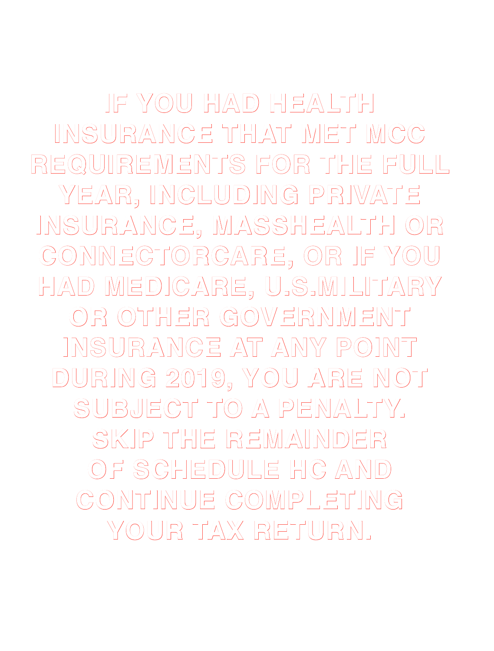**IF YOU HAD HEALTH INSURANCE THAT MET MCC REQUIREMENTS FOR THE FULL YEAR, INCLUDING PRIVATE INSURANCE, MASSHEALTH OR CONNECTORCARE, OR IF YOU HAD MEDICARE, U.S.MILITARY OR OTHER GOVERNMENT INSURANCE AT ANY POINT DURING 2019, YOU ARE NOT SUBJECT TO A PENALTY. SKIP THE REMAINDER OF SCHEDULE HC AND CONTINUE COMPLETING YOUR TAX RETURN.**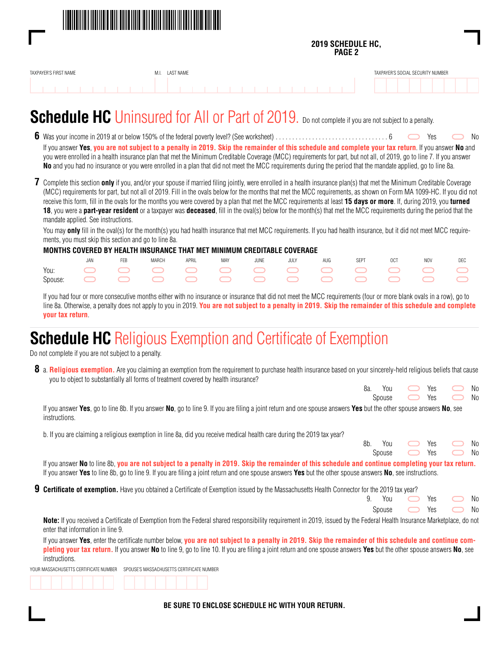

#### **2019 SCHEDULE HC, PAGE 2**

| TAXPAYER'S FIRST NAME | M1<br>IVI.I | LAST NAME |  |  |  |  |  |  |  |  |  | TAXPAYER'S SOCIAL SECURITY NUMBER |  |  |
|-----------------------|-------------|-----------|--|--|--|--|--|--|--|--|--|-----------------------------------|--|--|
|                       |             |           |  |  |  |  |  |  |  |  |  |                                   |  |  |

### **Schedule HC** Uninsured for All or Part of 2019. Do not complete if you are not subject to a penalty.

- **6** Was your income in 2019 at or below 150% of the federal poverty level? (See worksheet). . . 6 Yes No If you answer **Yes**, **you are not subject to a penalty in 2019. Skip the remainder of this schedule and complete your tax return**. If you answer **No** and you were enrolled in a health insurance plan that met the Minimum Creditable Coverage (MCC) requirements for part, but not all, of 2019, go to line 7. If you answer **No** and you had no insurance or you were enrolled in a plan that did not meet the MCC requirements during the period that the mandate applied, go to line 8a.
- **7** Complete this section **only** if you, and/or your spouse if married filing jointly, were enrolled in a health insurance plan(s) that met the Minimum Creditable Coverage (MCC) requirements for part, but not all of 2019. Fill in the ovals below for the months that met the MCC requirements, as shown on Form MA 1099-HC. If you did not receive this form, fill in the ovals for the months you were covered by a plan that met the MCC requirements at least **15 days or more**. If, during 2019, you **turned 18**, you were a **part-year resident** or a taxpayer was **deceased**, fill in the oval(s) below for the month(s) that met the MCC requirements during the period that the mandate applied. See instructions.

You may **only** fill in the oval(s) for the month(s) you had health insurance that met MCC requirements. If you had health insurance, but it did not meet MCC requirements, you must skip this section and go to line 8a.

#### **MONTHS COVERED BY HEALTH INSURANCE THAT MET MINIMUM CREDITABLE COVERAGE**

|  | FFR | MARCH | APRIL | <b>MAY</b> | JUNE | JULY AUG SEPT OCT NOV DEC |  |  |
|--|-----|-------|-------|------------|------|---------------------------|--|--|
|  |     |       |       |            |      |                           |  |  |
|  |     |       |       |            |      |                           |  |  |

 If you had four or more consecutive months either with no insurance or insurance that did not meet the MCC requirements (four or more blank ovals in a row), go to line 8a. Otherwise, a penalty does not apply to you in 2019. **You are not subject to a penalty in 2019. Skip the remainder of this schedule and complete your tax return**.

### **Schedule HC** Religious Exemption and Certificate of Exemption

Do not complete if you are not subject to a penalty.

**8** a. **Religious exemption.** Are you claiming an exemption from the requirement to purchase health insurance based on your sincerely-held religious beliefs that cause you to object to substantially all forms of treatment covered by health insurance?

| 8а. | You               | Yes  | No<br>$\sim$ |
|-----|-------------------|------|--------------|
|     | Spouse • Yes • No | $ -$ |              |

 If you answer **Yes**, go to line 8b. If you answer **No**, go to line 9. If you are filing a joint return and one spouse answers **Yes** but the other spouse answers **No**, see instructions.

b. If you are claiming a religious exemption in line 8a, did you receive medical health care during the 2019 tax year?

|  |  |                                                                                                                 | 8b. You • Yes • No          |  |
|--|--|-----------------------------------------------------------------------------------------------------------------|-----------------------------|--|
|  |  |                                                                                                                 | Spouse $\Box$ Yes $\Box$ No |  |
|  |  | the contract of the contract of the contract of the contract of the contract of the contract of the contract of | .                           |  |

 If you answer **No** to line 8b, **you are not subject to a penalty in 2019. Skip the remainder of this schedule and continue completing your tax return.** If you answer **Yes** to line 8b, go to line 9. If you are filing a joint return and one spouse answers **Yes** but the other spouse answers **No**, see instructions.

**9 Certificate of exemption.** Have you obtained a Certificate of Exemption issued by the Massachusetts Health Connector for the 2019 tax year?

|  | 9. You $\qquad \qquad$ Yes $\qquad \qquad$ No |  |  |
|--|-----------------------------------------------|--|--|
|  | Spouse • Yes • No                             |  |  |

 **Note:** If you received a Certificate of Exemption from the Federal shared responsibility requirement in 2019, issued by the Federal Health Insurance Marketplace, do not enter that information in line 9.

 If you answer **Yes**, enter the certificate number below, **you are not subject to a penalty in 2019. Skip the remainder of this schedule and continue completing your tax return.** If you answer **No** to line 9, go to line 10. If you are filing a joint return and one spouse answers **Yes** but the other spouse answers **No**, see instructions.

YOUR MASSACHUSETTS CERTIFICATE NUMBER SPOUSE'S MASSACHUSETTS CERTIFICATE NUMBER

**BE SURE TO ENCLOSE SCHEDULE HC WITH YOUR RETURN.**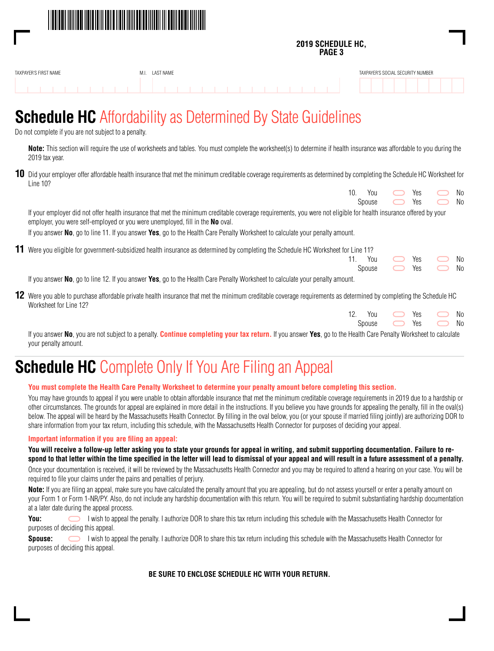

#### **2019 SCHEDULE HC, PAGE 3**

| TAXPAYER'S FIRST NAME | LAST NAME |  |  |  |  |  |  |  |  |  | TAXPAYER'S SOCIAL SECURITY NUMBER |  |
|-----------------------|-----------|--|--|--|--|--|--|--|--|--|-----------------------------------|--|
|                       |           |  |  |  |  |  |  |  |  |  |                                   |  |

### **Schedule HC** Affordability as Determined By State Guidelines

Do not complete if you are not subject to a penalty.

 **Note:** This section will require the use of worksheets and tables. You must complete the worksheet(s) to determine if health insurance was affordable to you during the 2019 tax year.

**10** Did your employer offer affordable health insurance that met the minimum creditable coverage requirements as determined by completing the Schedule HC Worksheet for Line 10?

|                                                                                                                                                                                                                                                           | 10. | You    | Yes | N <sub>0</sub> |
|-----------------------------------------------------------------------------------------------------------------------------------------------------------------------------------------------------------------------------------------------------------|-----|--------|-----|----------------|
|                                                                                                                                                                                                                                                           |     | Spouse | Yes | N <sub>0</sub> |
| If your employer did not offer health insurance that met the minimum creditable coverage requirements, you were not eligible for health insurance offered by your<br>employer, you were self-employed or you were unemployed, fill in the <b>No</b> oval. |     |        |     |                |
| If you answer No, go to line 11. If you answer Yes, go to the Health Care Penalty Worksheet to calculate your penalty amount.                                                                                                                             |     |        |     |                |
| 11 Were you eligible for government-subsidized health insurance as determined by completing the Schedule HC Worksheet for Line 11?                                                                                                                        |     |        |     |                |
|                                                                                                                                                                                                                                                           |     | You    | Yes | N <sub>0</sub> |
|                                                                                                                                                                                                                                                           |     | Spouse | Yes | No.            |
| If you answer No, go to line 12. If you answer Yes, go to the Health Care Penalty Worksheet to calculate your penalty amount.                                                                                                                             |     |        |     |                |
| 12 Were you able to purchase affordable private health insurance that met the minimum creditable coverage requirements as determined by completing the Schedule HC<br>Worksheet for Line 12?                                                              |     |        |     |                |

| 12. You <a>&gt; Yes <a> No</a></a> |  |  |
|------------------------------------|--|--|
| Spouse • Yes • No                  |  |  |

 If you answer **No**, you are not subject to a penalty. **Continue completing your tax return.** If you answer **Yes**, go to the Health Care Penalty Worksheet to calculate your penalty amount.

### **Schedule HC** Complete Only If You Are Filing an Appeal

#### **You must complete the Health Care Penalty Worksheet to determine your penalty amount before completing this section.**

 You may have grounds to appeal if you were unable to obtain affordable insurance that met the minimum creditable coverage requirements in 2019 due to a hardship or other circumstances. The grounds for appeal are explained in more detail in the instructions. If you believe you have grounds for appealing the penalty, fill in the oval(s) below. The appeal will be heard by the Massachusetts Health Connector. By filling in the oval below, you (or your spouse if married filing jointly) are authorizing DOR to share information from your tax return, including this schedule, with the Massachusetts Health Connector for purposes of deciding your appeal.

#### **Important information if you are filing an appeal:**

 **You will receive a follow-up letter asking you to state your grounds for appeal in writing, and submit supporting documentation. Failure to respond to that letter within the time specified in the letter will lead to dismissal of your appeal and will result in a future assessment of a penalty.**

 Once your documentation is received, it will be reviewed by the Massachusetts Health Connector and you may be required to attend a hearing on your case. You will be required to file your claims under the pains and penalties of perjury.

Note: If you are filing an appeal, make sure you have calculated the penalty amount that you are appealing, but do not assess yourself or enter a penalty amount on your Form 1 or Form 1-NR/PY. Also, do not include any hardship documentation with this return. You will be required to submit substantiating hardship documentation at a later date during the appeal process.

**You:** I wish to appeal the penalty. I authorize DOR to share this tax return including this schedule with the Massachusetts Health Connector for purposes of deciding this appeal.

 **Spouse:** I wish to appeal the penalty. I authorize DOR to share this tax return including this schedule with the Massachusetts Health Connector for purposes of deciding this appeal.

#### **BE SURE TO ENCLOSE SCHEDULE HC WITH YOUR RETURN.**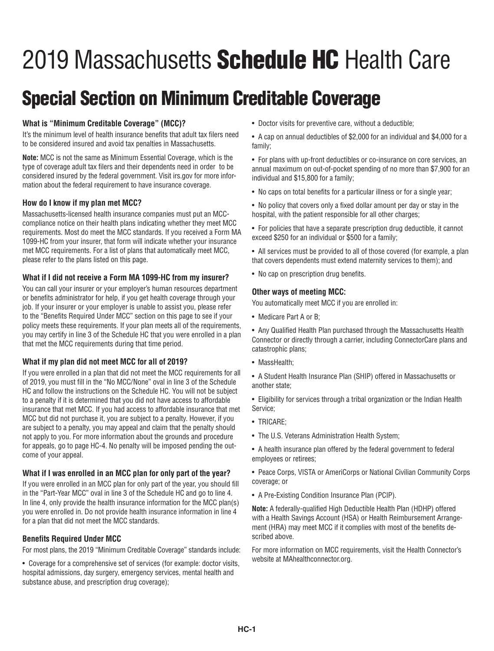# 2019 Massachusetts **Schedule HC** Health Care

## Special Section on Minimum Creditable Coverage

#### **What is "Minimum Creditable Coverage" (MCC)?**

It's the minimum level of health insurance benefits that adult tax filers need to be considered insured and avoid tax penalties in Massachusetts.

**Note:** MCC is not the same as Minimum Essential Coverage, which is the type of coverage adult tax filers and their dependents need in order to be considered insured by the federal government. Visit irs.gov for more information about the federal requirement to have insurance coverage.

#### **How do I know if my plan met MCC?**

Massachusetts-licensed health insurance companies must put an MCCcompliance notice on their health plans indicating whether they meet MCC requirements. Most do meet the MCC standards. If you received a Form MA 1099-HC from your insurer, that form will indicate whether your insurance met MCC requirements. For a list of plans that automatically meet MCC, please refer to the plans listed on this page.

#### **What if I did not receive a Form MA 1099-HC from my insurer?**

You can call your insurer or your employer's human resources department or benefits administrator for help, if you get health coverage through your job. If your insurer or your employer is unable to assist you, please refer to the "Benefits Required Under MCC" section on this page to see if your policy meets these requirements. If your plan meets all of the requirements, you may certify in line 3 of the Schedule HC that you were enrolled in a plan that met the MCC requirements during that time period.

#### **What if my plan did not meet MCC for all of 2019?**

If you were enrolled in a plan that did not meet the MCC requirements for all of 2019, you must fill in the "No MCC/None" oval in line 3 of the Schedule HC and follow the instructions on the Schedule HC. You will not be subject to a penalty if it is determined that you did not have access to affordable insurance that met MCC. If you had access to affordable insurance that met MCC but did not purchase it, you are subject to a penalty. However, if you are subject to a penalty, you may appeal and claim that the penalty should not apply to you. For more information about the grounds and procedure for appeals, go to page HC-4. No penalty will be imposed pending the outcome of your appeal.

#### **What if I was enrolled in an MCC plan for only part of the year?**

If you were enrolled in an MCC plan for only part of the year, you should fill in the "Part-Year MCC" oval in line 3 of the Schedule HC and go to line 4. In line 4, only provide the health insurance information for the MCC plan(s) you were enrolled in. Do not provide health insurance information in line 4 for a plan that did not meet the MCC standards.

#### **Benefits Required Under MCC**

For most plans, the 2019 "Minimum Creditable Coverage" standards include:

• Coverage for a comprehensive set of services (for example: doctor visits, hospital admissions, day surgery, emergency services, mental health and substance abuse, and prescription drug coverage);

- Doctor visits for preventive care, without a deductible;
- A cap on annual deductibles of \$2,000 for an individual and \$4,000 for a family;

• For plans with up-front deductibles or co-insurance on core services, an annual maximum on out-of-pocket spending of no more than \$7,900 for an individual and \$15,800 for a family;

• No caps on total benefits for a particular illness or for a single year;

• No policy that covers only a fixed dollar amount per day or stay in the hospital, with the patient responsible for all other charges;

- For policies that have a separate prescription drug deductible, it cannot exceed \$250 for an individual or \$500 for a family;
- All services must be provided to all of those covered (for example, a plan that covers dependents must extend maternity services to them); and
- No cap on prescription drug benefits.

#### **Other ways of meeting MCC:**

You automatically meet MCC if you are enrolled in:

• Medicare Part A or B;

• Any Qualified Health Plan purchased through the Massachusetts Health Connector or directly through a carrier, including ConnectorCare plans and catastrophic plans;

• MassHealth:

• A Student Health Insurance Plan (SHIP) offered in Massachusetts or another state;

• Eligibility for services through a tribal organization or the Indian Health Service;

- TRICARE;
- The U.S. Veterans Administration Health System;
- A health insurance plan offered by the federal government to federal employees or retirees;
- Peace Corps, VISTA or AmeriCorps or National Civilian Community Corps coverage; or
- A Pre-Existing Condition Insurance Plan (PCIP).

**Note:** A federally-qualified High Deductible Health Plan (HDHP) offered with a Health Savings Account (HSA) or Health Reimbursement Arrangement (HRA) may meet MCC if it complies with most of the benefits described above.

For more information on MCC requirements, visit the Health Connector's website at MAhealthconnector.org.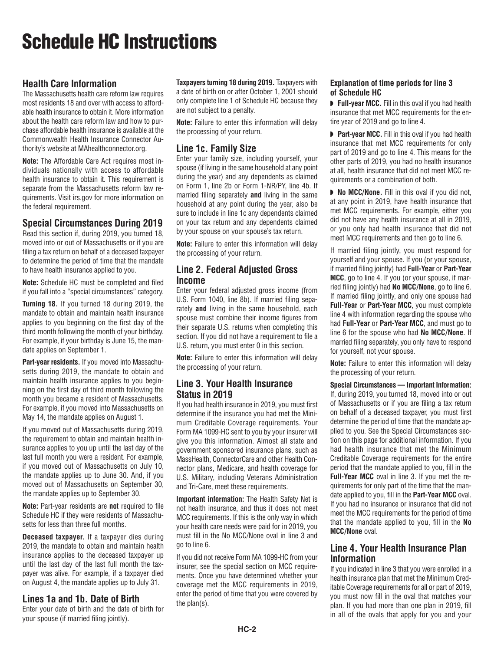## Schedule HC Instructions

### **Health Care Information**

The Massachusetts health care reform law requires most residents 18 and over with access to affordable health insurance to obtain it. More information about the health care reform law and how to purchase affordable health insurance is available at the Commonwealth Health Insurance Connector Authority's website at MAhealthconnector.org.

**Note:** The Affordable Care Act requires most individuals nationally with access to affordable health insurance to obtain it. This requirement is separate from the Massachusetts reform law requirements. Visit irs.gov for more information on the federal requirement.

### **Special Circumstances During 2019**

Read this section if, during 2019, you turned 18, moved into or out of Massachusetts or if you are filing a tax return on behalf of a deceased taxpayer to determine the period of time that the mandate to have health insurance applied to you.

**Note:** Schedule HC must be completed and filed if you fall into a "special circumstances" category.

**Turning 18.** If you turned 18 during 2019, the mandate to obtain and maintain health insurance applies to you beginning on the first day of the third month following the month of your birthday. For example, if your birthday is June 15, the mandate applies on September 1.

Part-year residents. If you moved into Massachusetts during 2019, the mandate to obtain and maintain health insurance applies to you beginning on the first day of third month following the month you became a resident of Massachusetts. For example, if you moved into Massachusetts on May 14, the mandate applies on August 1.

If you moved out of Massachusetts during 2019, the requirement to obtain and maintain health insurance applies to you up until the last day of the last full month you were a resident. For example, if you moved out of Massachusetts on July 10, the mandate applies up to June 30. And, if you moved out of Massachusetts on September 30, the mandate applies up to September 30.

**Note:** Part-year residents are **not** required to file Schedule HC if they were residents of Massachusetts for less than three full months.

**Deceased taxpayer.** If a taxpayer dies during 2019, the mandate to obtain and maintain health insurance applies to the deceased taxpayer up until the last day of the last full month the taxpayer was alive. For example, if a taxpayer died on August 4, the mandate applies up to July 31.

#### **Lines 1a and 1b. Date of Birth**

Enter your date of birth and the date of birth for your spouse (if married filing jointly).

**Taxpayers turning 18 during 2019.** Taxpayers with a date of birth on or after October 1, 2001 should only complete line 1 of Schedule HC because they are not subject to a penalty.

**Note:** Failure to enter this information will delay the processing of your return.

#### **Line 1c. Family Size**

Enter your family size, including yourself, your spouse (if living in the same household at any point during the year) and any dependents as claimed on Form 1, line 2b or Form 1-NR/PY, line 4b. If married filing separately **and** living in the same household at any point during the year, also be sure to include in line 1c any dependents claimed on your tax return and any dependents claimed by your spouse on your spouse's tax return.

**Note:** Failure to enter this information will delay the processing of your return.

#### **Line 2. Federal Adjusted Gross Income**

Enter your federal adjusted gross income (from U.S. Form 1040, line 8b). If married filing separately **and** living in the same household, each spouse must combine their income figures from their separate U.S. returns when completing this section. If you did not have a requirement to file a U.S. return, you must enter 0 in this section.

**Note:** Failure to enter this information will delay the processing of your return.

#### **Line 3. Your Health Insurance Status in 2019**

If you had health insurance in 2019, you must first determine if the insurance you had met the Minimum Creditable Coverage requirements. Your Form MA 1099-HC sent to you by your insurer will give you this information. Almost all state and government sponsored insurance plans, such as MassHealth, ConnectorCare and other Health Connector plans, Medicare, and health coverage for U.S. Military, including Veterans Administration and Tri-Care, meet these requirements.

**Important information:** The Health Safety Net is not health insurance, and thus it does not meet MCC requirements. If this is the only way in which your health care needs were paid for in 2019, you must fill in the No MCC/None oval in line 3 and go to line 6.

If you did not receive Form MA 1099-HC from your insurer, see the special section on MCC requirements. Once you have determined whether your coverage met the MCC requirements in 2019, enter the period of time that you were covered by the plan(s).

#### **Explanation of time periods for line 3 of Schedule HC**

◗ **Full-year MCC.** Fill in this oval if you had health insurance that met MCC requirements for the entire year of 2019 and go to line 4.

■ **Part-year MCC.** Fill in this oval if you had health insurance that met MCC requirements for only part of 2019 and go to line 4. This means for the other parts of 2019, you had no health insurance at all, health insurance that did not meet MCC requirements or a combination of both.

◗ **No MCC/None.** Fill in this oval if you did not, at any point in 2019, have health insurance that met MCC requirements. For example, either you did not have any health insurance at all in 2019, or you only had health insurance that did not meet MCC requirements and then go to line 6.

If married filing jointly, you must respond for yourself and your spouse. If you (or your spouse, if married filing jointly) had **Full-Year** or **Part-Year MCC**, go to line 4. If you (or your spouse, if married filing jointly) had **No MCC/None**, go to line 6. If married filing jointly, and only one spouse had **Full-Year** or **Part-Year MCC**, you must complete line 4 with information regarding the spouse who had **Full-Year** or **Part-Year MCC**, and must go to line 6 for the spouse who had **No MCC/None**. If married filing separately, you only have to respond for yourself, not your spouse.

**Note:** Failure to enter this information will delay the processing of your return.

**Special Circumstances — Important Information:** If, during 2019, you turned 18, moved into or out of Massachusetts or if you are filing a tax return on behalf of a deceased taxpayer, you must first determine the period of time that the mandate applied to you. See the Special Circumstances section on this page for additional information. If you had health insurance that met the Minimum Creditable Coverage requirements for the entire period that the mandate applied to you, fill in the **Full-Year MCC** oval in line 3. If you met the requirements for only part of the time that the mandate applied to you, fill in the **Part-Year MCC** oval. If you had no insurance or insurance that did not meet the MCC requirements for the period of time that the mandate applied to you, fill in the **No MCC/None** oval.

#### **Line 4. Your Health Insurance Plan Information**

If you indicated in line 3 that you were enrolled in a health insurance plan that met the Minimum Creditable Coverage requirements for all or part of 2019, you must now fill in the oval that matches your plan. If you had more than one plan in 2019, fill in all of the ovals that apply for you and your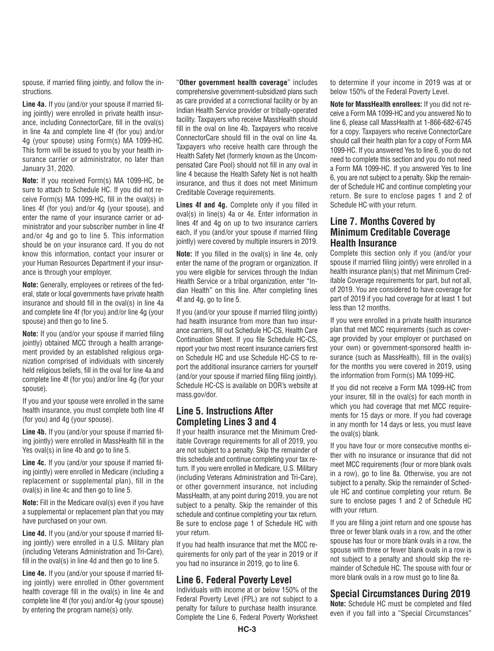spouse, if married filing jointly, and follow the instructions.

**Line 4a.** If you (and/or your spouse if married filing jointly) were enrolled in private health insurance, including ConnectorCare, fill in the oval(s) in line 4a and complete line 4f (for you) and/or 4g (your spouse) using Form(s) MA 1099-HC. This form will be issued to you by your health insurance carrier or administrator, no later than January 31, 2020.

**Note:** If you received Form(s) MA 1099-HC, be sure to attach to Schedule HC. If you did not receive Form(s) MA 1099-HC, fill in the oval(s) in lines 4f (for you) and/or 4g (your spouse), and enter the name of your insurance carrier or administrator and your subscriber number in line 4f and/or 4g and go to line 5. This information should be on your insurance card. If you do not know this information, contact your insurer or your Human Resources Department if your insurance is through your employer.

**Note:** Generally, employees or retirees of the federal, state or local governments have private health insurance and should fill in the oval(s) in line 4a and complete line 4f (for you) and/or line 4g (your spouse) and then go to line 5.

**Note:** If you (and/or your spouse if married filing jointly) obtained MCC through a health arrangement provided by an established religious organization comprised of individuals with sincerely held religious beliefs, fill in the oval for line 4a and complete line 4f (for you) and/or line 4g (for your spouse).

If you and your spouse were enrolled in the same health insurance, you must complete both line 4f (for you) and 4g (your spouse).

**Line 4b.** If you (and/or your spouse if married filing jointly) were enrolled in MassHealth fill in the Yes oval(s) in line 4b and go to line 5.

**Line 4c.** If you (and/or your spouse if married filing jointly) were enrolled in Medicare (including a replacement or supplemental plan), fill in the oval(s) in line 4c and then go to line 5.

**Note:** Fill in the Medicare oval(s) even if you have a supplemental or replacement plan that you may have purchased on your own.

**Line 4d.** If you (and/or your spouse if married filing jointly) were enrolled in a U.S. Military plan (including Veterans Administration and Tri-Care), fill in the oval(s) in line 4d and then go to line 5.

**Line 4e.** If you (and/or your spouse if married filing jointly) were enrolled in Other government health coverage fill in the oval(s) in line 4e and complete line 4f (for you) and/or 4g (your spouse) by entering the program name(s) only.

"**Other government health coverage**" includes comprehensive government-subsidized plans such as care provided at a correctional facility or by an Indian Health Service provider or tribally-operated facility. Taxpayers who receive MassHealth should fill in the oval on line 4b. Taxpayers who receive ConnectorCare should fill in the oval on line 4a. Taxpayers who receive health care through the Health Safety Net (formerly known as the Uncompensated Care Pool) should not fill in any oval in line 4 because the Health Safety Net is not health insurance, and thus it does not meet Minimum Creditable Coverage requirements.

**Lines 4f and 4g.** Complete only if you filled in oval(s) in line(s) 4a or 4e. Enter information in lines 4f and 4g on up to two insurance carriers each, if you (and/or your spouse if married filing jointly) were covered by multiple insurers in 2019.

**Note:** If you filled in the oval(s) in line 4e, only enter the name of the program or organization. If you were eligible for services through the Indian Health Service or a tribal organization, enter "Indian Health" on this line. After completing lines 4f and 4g, go to line 5.

If you (and/or your spouse if married filing jointly) had health insurance from more than two insurance carriers, fill out Schedule HC-CS, Health Care Continuation Sheet. If you file Schedule HC-CS, report your two most recent insurance carriers first on Schedule HC and use Schedule HC-CS to report the additional insurance carriers for yourself (and/or your spouse if married filing filing jointly). Schedule HC-CS is available on DOR's website at mass.gov/dor.

#### **Line 5. Instructions After Completing Lines 3 and 4**

If your health insurance met the Minimum Creditable Coverage requirements for all of 2019, you are not subject to a penalty. Skip the remainder of this schedule and continue completing your tax return. If you were enrolled in Medicare, U.S. Military (including Veterans Administration and Tri-Care), or other government insurance, not including MassHealth, at any point during 2019, you are not subject to a penalty. Skip the remainder of this schedule and continue completing your tax return. Be sure to enclose page 1 of Schedule HC with your return.

If you had health insurance that met the MCC requirements for only part of the year in 2019 or if you had no insurance in 2019, go to line 6.

#### **Line 6. Federal Poverty Level**

Individuals with income at or below 150% of the Federal Poverty Level (FPL) are not subject to a penalty for failure to purchase health insurance. Complete the Line 6, Federal Poverty Worksheet to determine if your income in 2019 was at or below 150% of the Federal Poverty Level.

**Note for MassHealth enrollees:** If you did not receive a Form MA 1099-HC and you answered No to line 6, please call Mass Health at 1-866-682-6745 for a copy. Taxpayers who receive ConnectorCare should call their health plan for a copy of Form MA 1099-HC. If you answered Yes to line 6, you do not need to complete this section and you do not need a Form MA 1099-HC. If you answered Yes to line 6, you are not subject to a penalty. Skip the remainder of Schedule HC and continue completing your return. Be sure to enclose pages 1 and 2 of Schedule HC with your return.

#### **Line 7. Months Covered by Minimum Creditable Coverage Health Insurance**

Complete this section only if you (and/or your spouse if married filing jointly) were enrolled in a health insurance plan(s) that met Minimum Creditable Coverage requirements for part, but not all, of 2019. You are considered to have coverage for part of 2019 if you had coverage for at least 1 but less than 12 months.

If you were enrolled in a private health insurance plan that met MCC requirements (such as coverage provided by your employer or purchased on your own) or government-sponsored health insurance (such as MassHealth), fill in the oval(s) for the months you were covered in 2019, using the information from Form(s) MA 1099-HC.

If you did not receive a Form MA 1099-HC from your insurer, fill in the oval(s) for each month in which you had coverage that met MCC requirements for 15 days or more. If you had coverage in any month for 14 days or less, you must leave the oval(s) blank.

If you have four or more consecutive months either with no insurance or insurance that did not meet MCC requirements (four or more blank ovals in a row), go to line 8a. Otherwise, you are not subject to a penalty. Skip the remainder of Schedule HC and continue completing your return. Be sure to enclose pages 1 and 2 of Schedule HC with your return.

If you are filing a joint return and one spouse has three or fewer blank ovals in a row, and the other spouse has four or more blank ovals in a row, the spouse with three or fewer blank ovals in a row is not subject to a penalty and should skip the remainder of Schedule HC. The spouse with four or more blank ovals in a row must go to line 8a.

#### **Special Circumstances During 2019**

**Note:** Schedule HC must be completed and filed even if you fall into a "Special Circumstances"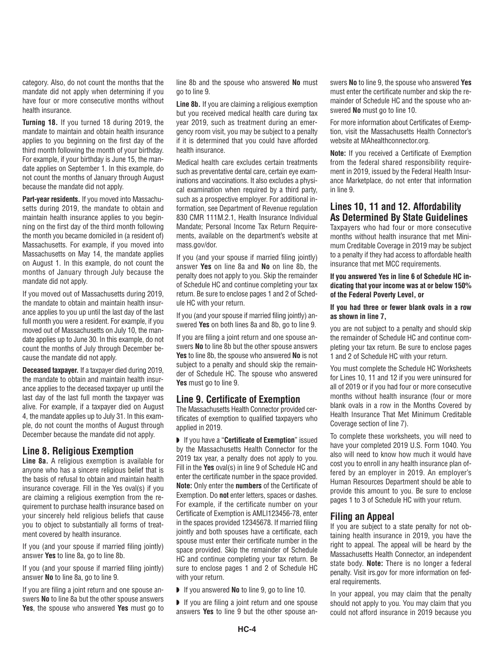category. Also, do not count the months that the mandate did not apply when determining if you have four or more consecutive months without health insurance.

**Turning 18.** If you turned 18 during 2019, the mandate to maintain and obtain health insurance applies to you beginning on the first day of the third month following the month of your birthday. For example, if your birthday is June 15, the mandate applies on September 1. In this example, do not count the months of January through August be cause the mandate did not apply.

**Part-year residents.** If you moved into Massachusetts during 2019, the mandate to obtain and maintain health insurance applies to you beginning on the first day of the third month following the month you became domiciled in (a resident of) Massachusetts. For example, if you moved into Massachusetts on May 14, the mandate applies on August 1. In this example, do not count the months of January through July because the mandate did not apply.

If you moved out of Massachusetts during 2019, the mandate to obtain and maintain health insurance applies to you up until the last day of the last full month you were a resident. For example, if you moved out of Massachusetts on July 10, the mandate applies up to June 30. In this example, do not count the months of July through December because the mandate did not apply.

**Deceased taxpayer.** If a taxpayer died during 2019, the mandate to obtain and maintain health insurance applies to the deceased taxpayer up until the last day of the last full month the taxpayer was alive. For example, if a taxpayer died on August 4, the mandate applies up to July 31. In this example, do not count the months of August through December because the mandate did not apply.

#### **Line 8. Religious Exemption**

**Line 8a.** A religious exemption is available for any one who has a sincere religious belief that is the basis of refusal to obtain and maintain health insurance coverage. Fill in the Yes oval(s) if you are claiming a religious exemption from the requirement to purchase health insurance based on your sincerely held religious beliefs that cause you to object to substantially all forms of treatment covered by health insurance.

If you (and your spouse if married filing jointly) answer **Yes** to line 8a, go to line 8b.

If you (and your spouse if married filing jointly) answer **No** to line 8a, go to line 9.

If you are filing a joint return and one spouse answers **No** to line 8a but the other spouse answers **Yes**, the spouse who answered **Yes** must go to line 8b and the spouse who answered **No** must go to line 9.

**Line 8b.** If you are claiming a religious exemption but you received medical health care during tax year 2019, such as treatment during an emergency room visit, you may be subject to a penalty if it is determined that you could have afforded health insurance.

Medical health care excludes certain treatments such as preventative dental care, certain eye examinations and vaccinations. It also excludes a physical examination when required by a third party, such as a prospective employer. For additional information, see Department of Revenue regulation 830 CMR 111M.2.1, Health Insurance Individual Mandate; Personal Income Tax Return Requirements, available on the department's website at mass.gov/dor.

If you (and your spouse if married filing jointly) answer **Yes** on line 8a and **No** on line 8b, the penalty does not apply to you. Skip the remainder of Schedule HC and continue completing your tax return. Be sure to enclose pages 1 and 2 of Schedule HC with your return.

If you (and your spouse if married filing jointly) answered **Yes** on both lines 8a and 8b, go to line 9.

If you are filing a joint return and one spouse answers **No** to line 8b but the other spouse answers **Yes** to line 8b, the spouse who answered **No** is not subject to a penalty and should skip the remainder of Schedule HC. The spouse who answered **Yes** must go to line 9.

#### **Line 9. Certificate of Exemption**

The Massachusetts Health Connector provided certificates of exemption to qualified taxpayers who applied in 2019.

◗ If you have a "**Certificate of Exemption**" issued by the Massachusetts Health Connector for the 2019 tax year, a penalty does not apply to you. Fill in the **Yes** oval(s) in line 9 of Schedule HC and enter the certificate number in the space provided. **Note:** Only enter the **numbers** of the Certificate of Exemption. Do **not** enter letters, spaces or dashes. For example, if the certificate number on your Certificate of Exemption is AMLI123456-78, enter in the spaces provided 12345678. If married filing jointly and both spouses have a certificate, each spouse must enter their certificate number in the space provided. Skip the remainder of Schedule HC and continue completing your tax return. Be sure to enclose pages 1 and 2 of Schedule HC with your return.

◗ If you answered **No** to line 9, go to line 10.

■ If you are filing a joint return and one spouse an swers **Yes** to line 9 but the other spouse answers **No** to line 9, the spouse who answered **Yes** must enter the certificate number and skip the remainder of Schedule HC and the spouse who answered **No** must go to line 10.

For more information about Certificates of Exemption, visit the Massachusetts Health Connector's website at MAhealthconnector.org.

**Note:** If you received a Certificate of Exemption from the federal shared responsibility requirement in 2019, issued by the Federal Health Insurance Marketplace, do not enter that information in line 9.

#### **Lines 10, 11 and 12. Affordability As Determined By State Guidelines**

Taxpayers who had four or more consecutive months without health insurance that met Minimum Creditable Coverage in 2019 may be subject to a penalty if they had access to affordable health insurance that met MCC requirements.

#### **If you answered Yes in line 6 of Schedule HC indicating that your income was at or below 150% of the Federal Poverty Level, or**

#### **If you had three or fewer blank ovals in a row as shown in line 7,**

you are not subject to a penalty and should skip the remainder of Schedule HC and continue completing your tax return. Be sure to enclose pages 1 and 2 of Schedule HC with your return.

You must complete the Schedule HC Worksheets for Lines 10, 11 and 12 if you were uninsured for all of 2019 or if you had four or more consecutive months without health insurance (four or more blank ovals in a row in the Months Covered by Health Insurance That Met Minimum Creditable Coverage section of line 7).

To complete these worksheets, you will need to have your completed 2019 U.S. Form 1040. You also will need to know how much it would have cost you to enroll in any health insurance plan offered by an employer in 2019. An employer's Human Resources Department should be able to provide this amount to you. Be sure to enclose pages 1 to 3 of Schedule HC with your return.

#### **Filing an Appeal**

If you are subject to a state penalty for not obtaining health insurance in 2019, you have the right to appeal. The appeal will be heard by the Massachusetts Health Connector, an independent state body. **Note:** There is no longer a federal penalty. Visit irs.gov for more information on federal requirements.

In your appeal, you may claim that the penalty should not apply to you. You may claim that you could not afford insurance in 2019 because you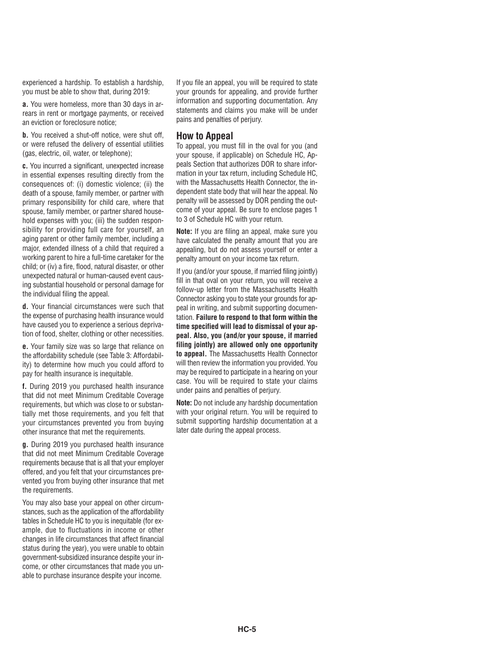experienced a hardship. To establish a hardship, you must be able to show that, during 2019:

**a.** You were homeless, more than 30 days in arrears in rent or mortgage payments, or received an eviction or foreclosure notice;

**b.** You received a shut-off notice, were shut off, or were refused the delivery of essential utilities (gas, electric, oil, water, or telephone);

**c.** You incurred a significant, unexpected increase in essential expenses resulting directly from the consequences of: (i) domestic violence; (ii) the death of a spouse, family member, or partner with primary responsibility for child care, where that spouse, family member, or partner shared household expenses with you; (iii) the sudden responsibility for providing full care for yourself, an aging parent or other family member, including a major, extended illness of a child that required a working parent to hire a full-time caretaker for the child; or (iv) a fire, flood, natural disaster, or other unexpected natural or human-caused event causing substantial household or personal damage for the individual filing the appeal.

**d.** Your financial circumstances were such that the expense of purchasing health insurance would have caused you to experience a serious deprivation of food, shelter, clothing or other necessities.

**e.** Your family size was so large that reliance on the affordability schedule (see Table 3: Affordability) to determine how much you could afford to pay for health insurance is inequitable.

**f.** During 2019 you purchased health insurance that did not meet Minimum Creditable Coverage requirements, but which was close to or substantially met those requirements, and you felt that your circumstances prevented you from buying other insurance that met the requirements.

**g.** During 2019 you purchased health insurance that did not meet Minimum Creditable Coverage requirements because that is all that your employer offered, and you felt that your circumstances prevented you from buying other insurance that met the requirements.

You may also base your appeal on other circumstances, such as the application of the affordability tables in Schedule HC to you is inequitable (for example, due to fluctuations in income or other changes in life circumstances that affect financial status during the year), you were unable to obtain government-subsidized insurance despite your income, or other circumstances that made you unable to purchase insurance despite your income.

If you file an appeal, you will be required to state your grounds for appealing, and provide further information and supporting documentation. Any statements and claims you make will be under pains and penalties of perjury.

#### **How to Appeal**

To appeal, you must fill in the oval for you (and your spouse, if applicable) on Schedule HC, Appeals Section that authorizes DOR to share information in your tax return, including Schedule HC, with the Massachusetts Health Connector, the independent state body that will hear the appeal. No penalty will be assessed by DOR pending the outcome of your appeal. Be sure to enclose pages 1 to 3 of Schedule HC with your return.

**Note:** If you are filing an appeal, make sure you have calculated the penalty amount that you are appealing, but do not assess yourself or enter a penalty amount on your income tax return.

If you (and/or your spouse, if married filing jointly) fill in that oval on your return, you will receive a follow-up letter from the Massachusetts Health Connector asking you to state your grounds for appeal in writing, and submit supporting documentation. **Failure to respond to that form within the time specified will lead to dismissal of your appeal. Also, you (and/or your spouse, if married filing jointly) are allowed only one opportunity to appeal.** The Massachusetts Health Connector will then review the information you provided. You may be required to participate in a hearing on your case. You will be required to state your claims under pains and penalties of perjury.

**Note:** Do not include any hardship documentation with your original return. You will be required to submit supporting hardship documentation at a later date during the appeal process.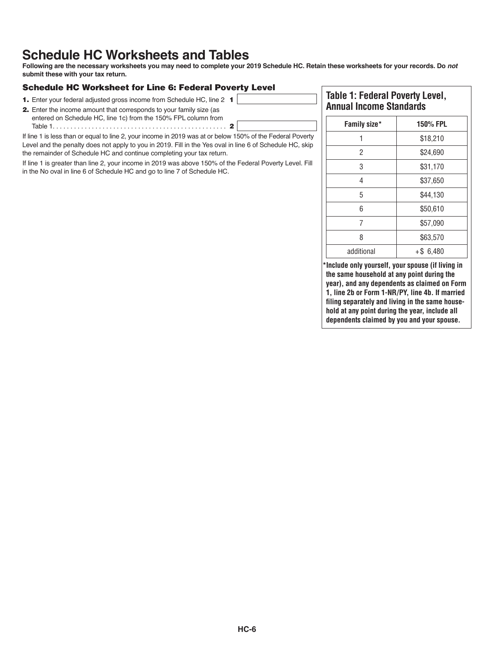### **Schedule HC Worksheets and Tables**

**Following are the necessary worksheets you may need to complete your 2019 Schedule HC. Retain these worksheets for your records. Do not submit these with your tax return.**

#### Schedule HC Worksheet for Line 6: Federal Poverty Level

- 1. Enter your federal adjusted gross income from Schedule HC, line 2 1
- 2. Enter the income amount that corresponds to your family size (as entered on Schedule HC, line 1c) from the 150% FPL column from Table 1. . . . . . . . . . . . . . . . . . . . . . . . . . . . . . . . . . . . . . . . . . . . . . . . . 2

If line 1 is less than or equal to line 2, your income in 2019 was at or below 150% of the Federal Poverty Level and the penalty does not apply to you in 2019. Fill in the Yes oval in line 6 of Schedule HC, skip the remainder of Schedule HC and continue completing your tax return.

If line 1 is greater than line 2, your income in 2019 was above 150% of the Federal Poverty Level. Fill in the No oval in line 6 of Schedule HC and go to line 7 of Schedule HC.

#### **Table 1: Federal Poverty Level, Annual Income Standards**

| Family size* | <b>150% FPL</b> |
|--------------|-----------------|
|              | \$18,210        |
| 2            | \$24,690        |
| 3            | \$31,170        |
| 4            | \$37,650        |
| 5            | \$44,130        |
| 6            | \$50,610        |
| 7            | \$57,090        |
| 8            | \$63,570        |
| additional   | $+ $6,480$      |

**\*Include only yourself, your spouse (if living in the same household at any point during the year), and any dependents as claimed on Form 1, line 2b or Form 1-NR/PY, line 4b. If married filing separately and living in the same household at any point during the year, include all dependents claimed by you and your spouse.**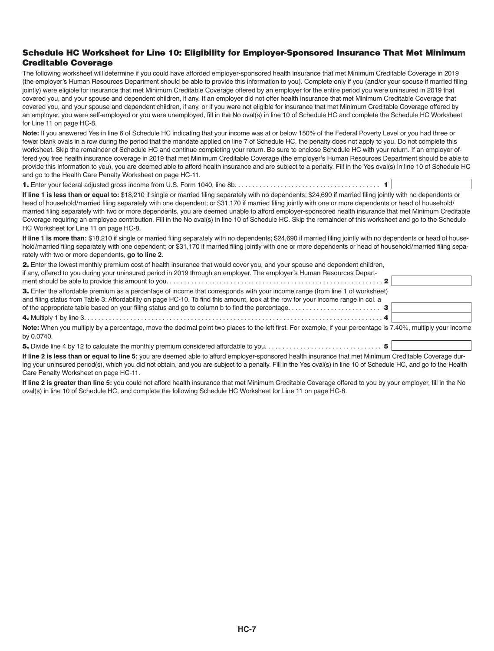#### Schedule HC Worksheet for Line 10: Eligibility for Employer-Sponsored Insurance That Met Minimum Creditable Coverage

The following worksheet will determine if you could have afforded employer-sponsored health insurance that met Minimum Creditable Coverage in 2019 (the employer's Human Resources Department should be able to provide this information to you). Complete only if you (and/or your spouse if married filing jointly) were eligible for insurance that met Minimum Creditable Coverage offered by an employer for the entire period you were uninsured in 2019 that covered you, and your spouse and dependent children, if any. If an employer did not offer health insurance that met Minimum Creditable Coverage that covered you, and your spouse and dependent children, if any, or if you were not eligible for insurance that met Minimum Creditable Coverage offered by an employer, you were self-employed or you were unemployed, fill in the No oval(s) in line 10 of Schedule HC and complete the Schedule HC Worksheet for Line 11 on page HC-8.

**Note:** If you answered Yes in line 6 of Schedule HC indicating that your income was at or below 150% of the Federal Poverty Level or you had three or fewer blank ovals in a row during the period that the mandate applied on line 7 of Schedule HC, the penalty does not apply to you. Do not complete this worksheet. Skip the remainder of Schedule HC and continue completing your return. Be sure to enclose Schedule HC with your return. If an employer offered you free health insurance coverage in 2019 that met Minimum Creditable Coverage (the employer's Human Resources Department should be able to provide this information to you), you are deemed able to afford health insurance and are subject to a penalty. Fill in the Yes oval(s) in line 10 of Schedule HC and go to the Health Care Penalty Worksheet on page HC-11.

1. Enter your federal adjusted gross income from U.S. Form 1040, line 8b. . . . . . . . . . . . . . . . . . . . . . . . . . . . . . . . . . . . . . . . . 1

**If line 1 is less than or equal to:** \$18,210 if single or married filing separately with no dependents; \$24,690 if married filing jointly with no dependents or head of household/married filing separately with one dependent; or \$31,170 if married filing jointly with one or more dependents or head of household/ married filing separately with two or more dependents, you are deemed unable to afford employer-sponsored health insurance that met Minimum Creditable Coverage requiring an employee contribution. Fill in the No oval(s) in line 10 of Schedule HC. Skip the remainder of this worksheet and go to the Schedule HC Worksheet for Line 11 on page HC-8.

If line 1 is more than: \$18,210 if single or married filing separately with no dependents; \$24,690 if married filing jointly with no dependents or head of household/married filing separately with one dependent; or \$31,170 if married filing jointly with one or more dependents or head of household/married filing separately with two or more dependents, **go to line 2**.

| 2. Enter the lowest monthly premium cost of health insurance that would cover you, and your spouse and dependent children,        |  |
|-----------------------------------------------------------------------------------------------------------------------------------|--|
| if any, offered to you during your uninsured period in 2019 through an employer. The employer's Human Resources Depart-           |  |
|                                                                                                                                   |  |
| 3. Enter the affordable premium as a percentage of income that corresponds with your income range (from line 1 of worksheet)      |  |
| and filing status from Table 3: Affordability on page HC-10. To find this amount, look at the row for your income range in col. a |  |

4. Multiply 1 by line 3. . . . . . . . . . . . . . . . . . . . . . . . . . . . . . . . . . . . . . . . . . . . . . . . . . . . . . . . . . . . . . . . . . . . . . . . . . . . . . . . . . . . 4 **Note:** When you multiply by a percentage, move the decimal point two places to the left first. For example, if your percentage is 7.40%, multiply your income by 0.0740.

5. Divide line 4 by 12 to calculate the monthly premium considered affordable to you. . . . . . . . . . . . . . . . . . . . . . . . . . . . . . . . . 5

of the appropriate table based on your filing status and go to column b to find the percentage. . . . . . . . . . . . . . . . . . . . . . . . . . 3

**If line 2 is less than or equal to line 5:** you are deemed able to afford employer-sponsored health insurance that met Minimum Creditable Coverage during your uninsured period(s), which you did not obtain, and you are subject to a penalty. Fill in the Yes oval(s) in line 10 of Schedule HC, and go to the Health Care Penalty Worksheet on page HC-11.

**If line 2 is greater than line 5:** you could not afford health insurance that met Minimum Creditable Coverage offered to you by your employer, fill in the No oval(s) in line 10 of Schedule HC, and complete the following Schedule HC Worksheet for Line 11 on page HC-8.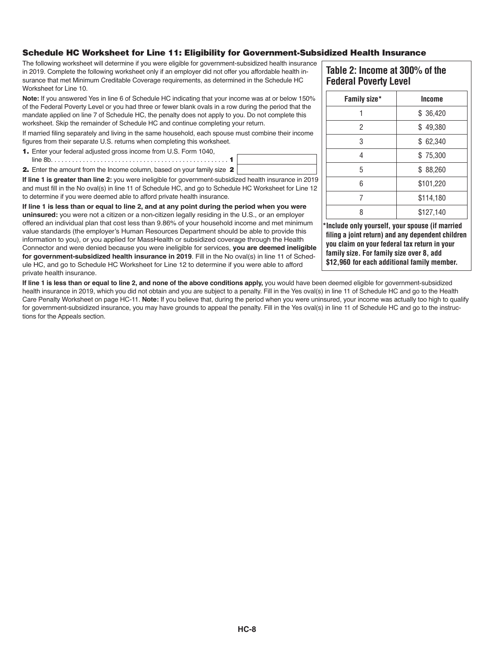#### Schedule HC Worksheet for Line 11: Eligibility for Government-Subsidized Health Insurance

The following worksheet will determine if you were eligible for government-subsidized health insurance in 2019. Complete the following worksheet only if an employer did not offer you affordable health insurance that met Minimum Creditable Coverage requirements, as determined in the Schedule HC Worksheet for Line 10.

**Note:** If you answered Yes in line 6 of Schedule HC indicating that your income was at or below 150% of the Federal Poverty Level or you had three or fewer blank ovals in a row during the period that the mandate applied on line 7 of Schedule HC, the penalty does not apply to you. Do not complete this work sheet. Skip the remainder of Schedule HC and continue completing your return.

If married filing separately and living in the same household, each spouse must combine their income figures from their separate U.S. returns when completing this worksheet.

1. Enter your federal adjusted gross income from U.S. Form 1040, line 8b. . . . . . . . . . . . . . . . . . . . . . . . . . . . . . . . . . . . . . . . . . . . . . . . . . 1

2. Enter the amount from the Income column, based on your family size 2

**If line 1 is greater than line 2:** you were ineligible for government-subsidized health insurance in 2019 and must fill in the No oval(s) in line 11 of Schedule HC, and go to Schedule HC Worksheet for Line 12 to determine if you were deemed able to afford private health insurance.

**If line 1 is less than or equal to line 2, and at any point during the period when you were uninsured:** you were not a citizen or a non-citizen legally residing in the U.S., or an employer offered an individual plan that cost less than 9.86% of your household income and met minimum value standards (the employer's Human Resources Department should be able to provide this information to you), or you applied for MassHealth or subsidized coverage through the Health Con nector and were denied because you were ineligible for services, **you are deemed ineligible for government-subsidized health insurance in 2019**. Fill in the No oval(s) in line 11 of Schedule HC, and go to Schedule HC Worksheet for Line 12 to determine if you were able to afford private health insurance.

If line 1 is less than or equal to line 2, and none of the above conditions apply, you would have been deemed eligible for government-subsidized health insurance in 2019, which you did not obtain and you are subject to a penalty. Fill in the Yes oval(s) in line 11 of Schedule HC and go to the Health Care Penalty Worksheet on page HC-11. **Note:** If you believe that, during the period when you were uninsured, your income was actually too high to qualify for government-subsidized insurance, you may have grounds to appeal the penalty. Fill in the Yes oval(s) in line 11 of Schedule HC and go to the instructions for the Appeals section.

#### **Table 2: Income at 300% of the Federal Poverty Level**

| Family size* | <b>Income</b> |
|--------------|---------------|
|              | \$36,420      |
| 2            | \$49,380      |
| 3            | \$62,340      |
| 4            | \$75,300      |
| 5            | \$88,260      |
| հ            | \$101,220     |
|              | \$114,180     |
|              | \$127,140     |

**\*Include only yourself, your spouse (if married** filing a joint return) and any dependent children **you claim on your federal tax return in your family size. For family size over 8, add** \$12,960 for each additional family member.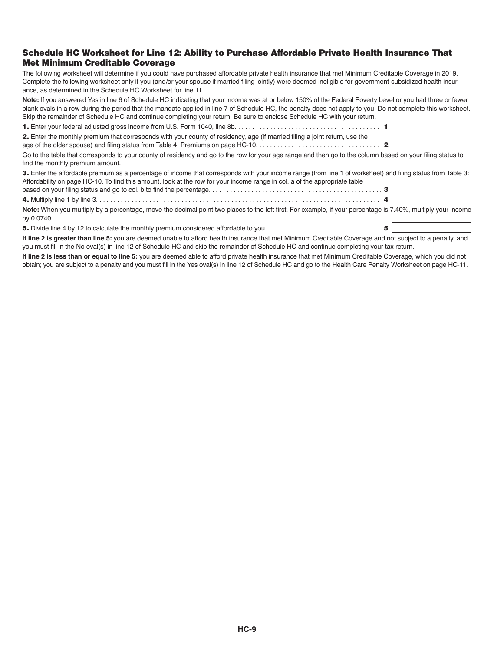#### Schedule HC Worksheet for Line 12: Ability to Purchase Affordable Private Health Insurance That Met Minimum Creditable Coverage

The following worksheet will determine if you could have purchased affordable private health insurance that met Minimum Creditable Coverage in 2019. Complete the following worksheet only if you (and/or your spouse if married filing jointly) were deemed ineligible for government-subsidized health insurance, as determined in the Schedule HC Worksheet for line 11.

**Note:** If you answered Yes in line 6 of Schedule HC indicating that your income was at or below 150% of the Federal Poverty Level or you had three or fewer blank ovals in a row during the period that the mandate applied in line 7 of Schedule HC, the penalty does not apply to you. Do not complete this worksheet. Skip the remainder of Schedule HC and continue completing your return. Be sure to enclose Schedule HC with your return.

| 2. Enter the monthly premium that corresponds with your county of residency, age (if married filing a joint return, use the                                                                                                                                                                       |  |
|---------------------------------------------------------------------------------------------------------------------------------------------------------------------------------------------------------------------------------------------------------------------------------------------------|--|
| Go to the table that corresponds to your county of residency and go to the row for your age range and then go to the column based on your filing status to<br>find the monthly premium amount.                                                                                                    |  |
| <b>3.</b> Enter the affordable premium as a percentage of income that corresponds with your income range (from line 1 of worksheet) and filing status from Table 3:<br>Affordability on page HC-10. To find this amount, look at the row for your income range in col. a of the appropriate table |  |
|                                                                                                                                                                                                                                                                                                   |  |
| Note: When you multiply by a percentage, move the decimal point two places to the left first. For example, if your percentage is 7.40%, multiply your income<br>by 0.0740.                                                                                                                        |  |

5. Divide line 4 by 12 to calculate the monthly premium considered affordable to you. . . . . . . . . . . . . . . . . . . . . . . . . . . . . . . . . 5 **If line 2 is greater than line 5:** you are deemed unable to afford health insurance that met Minimum Creditable Coverage and not subject to a penalty, and you must fill in the No oval(s) in line 12 of Schedule HC and skip the remainder of Schedule HC and continue completing your tax return.

**If line 2 is less than or equal to line 5:** you are deemed able to afford private health insurance that met Minimum Creditable Coverage, which you did not obtain; you are subject to a penalty and you must fill in the Yes oval(s) in line 12 of Schedule HC and go to the Health Care Penalty Worksheet on page HC-11.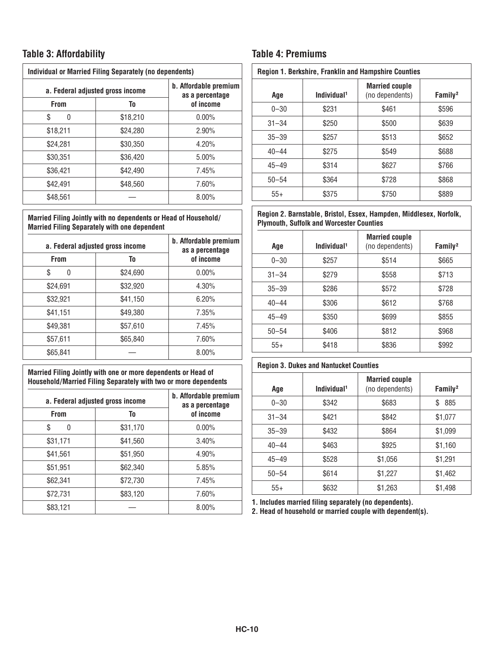#### **Table 3: Affordability Table 4: Premiums**

| <b>Individual or Married Filing Separately (no dependents)</b> |          |                                          |  |
|----------------------------------------------------------------|----------|------------------------------------------|--|
| a. Federal adjusted gross income                               |          | b. Affordable premium<br>as a percentage |  |
| <b>From</b>                                                    | To       | of income                                |  |
| S<br>O                                                         | \$18,210 | $0.00\%$                                 |  |
| \$18,211                                                       | \$24,280 | $2.90\%$                                 |  |
| \$24.281                                                       | \$30.350 | 4.20%                                    |  |
| \$30.351                                                       | \$36,420 | $5.00\%$                                 |  |
| \$36.421                                                       | \$42.490 | 7.45%                                    |  |
| \$42.491                                                       | \$48.560 | 7.60%                                    |  |
| \$48,561                                                       |          | 8.00%                                    |  |

#### **Married Filing Jointly with no dependents or Head of Household/ Married Filing Separately with one dependent**

| a. Federal adjusted gross income |          | b. Affordable premium<br>as a percentage |  |
|----------------------------------|----------|------------------------------------------|--|
| <b>From</b>                      | To       | of income                                |  |
| \$<br><sup>0</sup>               | \$24,690 | $0.00\%$                                 |  |
| \$24,691                         | \$32,920 | 4.30%                                    |  |
| \$32,921                         | \$41,150 | 6.20%                                    |  |
| \$41,151                         | \$49,380 | 7.35%                                    |  |
| \$49.381                         | \$57,610 | 7.45%                                    |  |
| \$57,611                         | \$65,840 | 7.60%                                    |  |
| \$65,841                         |          | $8.00\%$                                 |  |

#### **Married Filing Jointly with one or more dependents or Head of Household/Married Filing Separately with two or more dependents**

|             | a. Federal adjusted gross income | b. Affordable premium<br>as a percentage |
|-------------|----------------------------------|------------------------------------------|
| <b>From</b> | To                               | of income                                |
| S<br>0      | \$31,170                         | $0.00\%$                                 |
| \$31,171    | \$41,560                         | 3.40%                                    |
| \$41,561    | \$51,950                         | 4.90%                                    |
| \$51,951    | \$62,340                         | 5.85%                                    |
| \$62,341    | \$72,730                         | 7.45%                                    |
| \$72,731    | \$83,120                         | 7.60%                                    |
| \$83,121    |                                  | $8.00\%$                                 |

| Region 1. Berkshire, Franklin and Hampshire Counties |                         |                                          |                     |
|------------------------------------------------------|-------------------------|------------------------------------------|---------------------|
| Age                                                  | Individual <sup>1</sup> | <b>Married couple</b><br>(no dependents) | Family <sup>2</sup> |
| $0 - 30$                                             | \$231                   | \$461                                    | \$596               |
| $31 - 34$                                            | \$250                   | \$500                                    | \$639               |
| $35 - 39$                                            | \$257                   | \$513                                    | \$652               |
| $40 - 44$                                            | \$275                   | \$549                                    | \$688               |
| $45 - 49$                                            | \$314                   | \$627                                    | \$766               |
| $50 - 54$                                            | \$364                   | \$728                                    | \$868               |
| $55+$                                                | \$375                   | \$750                                    | \$889               |

#### **Region 2. Barnstable, Bristol, Essex, Hampden, Middlesex, Norfolk, Plymouth, Suffolk and Worcester Counties**

| Age       | Individual <sup>1</sup> | <b>Married couple</b><br>(no dependents) | Family <sup>2</sup> |
|-----------|-------------------------|------------------------------------------|---------------------|
| $0 - 30$  | \$257                   | \$514                                    | \$665               |
| $31 - 34$ | \$279                   | \$558                                    | \$713               |
| $35 - 39$ | \$286                   | \$572                                    | \$728               |
| $40 - 44$ | \$306                   | \$612                                    | \$768               |
| $45 - 49$ | \$350                   | \$699                                    | \$855               |
| $50 - 54$ | \$406                   | \$812                                    | \$968               |
| $55+$     | \$418                   | \$836                                    | \$992               |

#### **Region 3. Dukes and Nantucket Counties**

| Age       | Individual <sup>1</sup> | <b>Married couple</b><br>(no dependents) | Family <sup>2</sup> |
|-----------|-------------------------|------------------------------------------|---------------------|
| $0 - 30$  | \$342                   | \$683                                    | 885<br>\$           |
| $31 - 34$ | \$421                   | \$842                                    | \$1,077             |
| $35 - 39$ | \$432                   | \$864                                    | \$1,099             |
| $40 - 44$ | \$463                   | \$925                                    | \$1,160             |
| $45 - 49$ | \$528                   | \$1,056                                  | \$1,291             |
| $50 - 54$ | \$614                   | \$1,227                                  | \$1,462             |
| $55+$     | \$632                   | \$1,263                                  | \$1,498             |

**1. Includes married filing separately (no dependents).**

**2. Head of household or married couple with dependent(s).**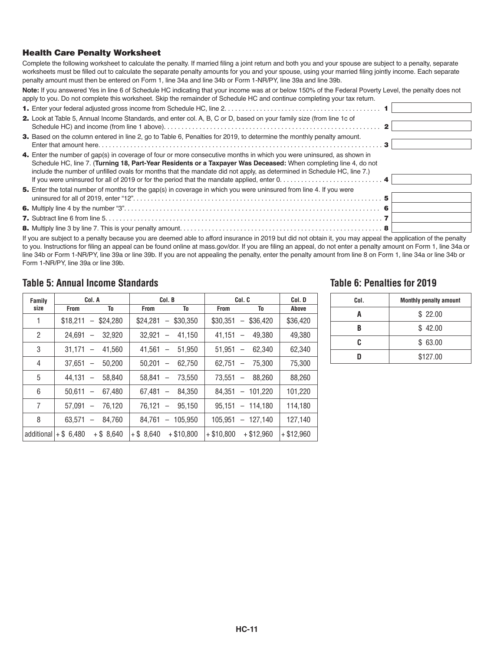#### Health Care Penalty Worksheet

Complete the following worksheet to calculate the penalty. If married filing a joint return and both you and your spouse are subject to a penalty, separate worksheets must be filled out to calculate the separate penalty amounts for you and your spouse, using your married filing jointly income. Each separate penalty amount must then be entered on Form 1, line 34a and line 34b or Form 1-NR/PY, line 39a and line 39b.

**Note:** If you answered Yes in line 6 of Schedule HC indicating that your income was at or below 150% of the Federal Poverty Level, the penalty does not apply to you. Do not complete this worksheet. Skip the remainder of Schedule HC and continue completing your tax return.

| 2. Look at Table 5, Annual Income Standards, and enter col. A, B, C or D, based on your family size (from line 1c of<br>3. Based on the column entered in line 2, go to Table 6, Penalties for 2019, to determine the monthly penalty amount.<br>4. Enter the number of gap(s) in coverage of four or more consecutive months in which you were uninsured, as shown in<br>Schedule HC, line 7. (Turning 18, Part-Year Residents or a Taxpayer Was Deceased: When completing line 4, do not<br>include the number of unfilled ovals for months that the mandate did not apply, as determined in Schedule HC, line 7.)<br>If you were uninsured for all of 2019 or for the period that the mandate applied, enter $0, \ldots, \ldots, \ldots, \ldots, \ldots, \ldots, \mathbf{4}$<br>5. Enter the total number of months for the gap(s) in coverage in which you were uninsured from line 4. If you were |
|--------------------------------------------------------------------------------------------------------------------------------------------------------------------------------------------------------------------------------------------------------------------------------------------------------------------------------------------------------------------------------------------------------------------------------------------------------------------------------------------------------------------------------------------------------------------------------------------------------------------------------------------------------------------------------------------------------------------------------------------------------------------------------------------------------------------------------------------------------------------------------------------------------|

If you are subject to a penalty because you are deemed able to afford insurance in 2019 but did not obtain it, you may appeal the application of the penalty to you. Instructions for filing an appeal can be found online at mass.gov/dor. If you are filing an appeal, do not enter a penalty amount on Form 1, line 34a or line 34b or Form 1-NR/PY, line 39a or line 39b. If you are not appealing the penalty, enter the penalty amount from line 8 on Form 1, line 34a or line 34b or Form 1-NR/PY, line 39a or line 39b.

#### **Table 5: Annual Income Standards Table 6: Penalties for 2019**

| Family         |                       | Col. A                             |              | Col. B                                     |              | Col. C                             | Col. D       |
|----------------|-----------------------|------------------------------------|--------------|--------------------------------------------|--------------|------------------------------------|--------------|
| size           | <b>From</b>           | To                                 | <b>From</b>  | To                                         | <b>From</b>  | To                                 | Above        |
| 1              | \$18,211              | $-$ \$24.280                       | \$24.281     | \$30,350<br>$\qquad \qquad -$              | \$30.351     | $-$ \$36.420                       | \$36,420     |
| $\overline{2}$ | 24.691                | 32,920                             | 32.921       | 41.150<br>$\overline{\phantom{0}}$         | 41.151       | 49,380                             | 49,380       |
| 3              | 31.171                | 41.560<br>$\qquad \qquad -$        | 41.561       | 51,950<br>$\overline{\phantom{m}}$         | 51.951       | 62,340<br>$\overline{\phantom{m}}$ | 62,340       |
| 4              | 37.651                | 50.200                             | 50.201       | 62,750<br>$\overline{\phantom{0}}$         | 62.751       | 75,300<br>$\overline{\phantom{0}}$ | 75.300       |
| 5              | 44.131                | 58.840<br>$\qquad \qquad -$        | 58.841       | 73.550<br>$\overbrace{\phantom{12322111}}$ | 73.551       | 88,260                             | 88,260       |
| 6              | 50.611                | 67.480<br>$\qquad \qquad -$        | 67.481       | 84,350<br>$\overline{\phantom{m}}$         | 84.351       | $-101.220$                         | 101,220      |
| 7              | 57.091                | 76,120                             | 76.121       | 95.150                                     | 95.151       | $-114.180$                         | 114.180      |
| 8              | 63.571                | 84.760<br>$\overline{\phantom{0}}$ | 84.761       | 105.950<br>$\qquad \qquad -$               | 105.951      | $-127.140$                         | 127,140      |
|                | additional $+ $6.480$ | $+$ \$ 8.640                       | $+$ \$ 8.640 | $+$ \$10,800                               | $+$ \$10.800 | $+$ \$12.960                       | $+$ \$12.960 |

| Col. | <b>Monthly penalty amount</b> |
|------|-------------------------------|
|      | \$22.00                       |
|      | \$42.00                       |
| r    | \$63.00                       |
|      | \$127.00                      |